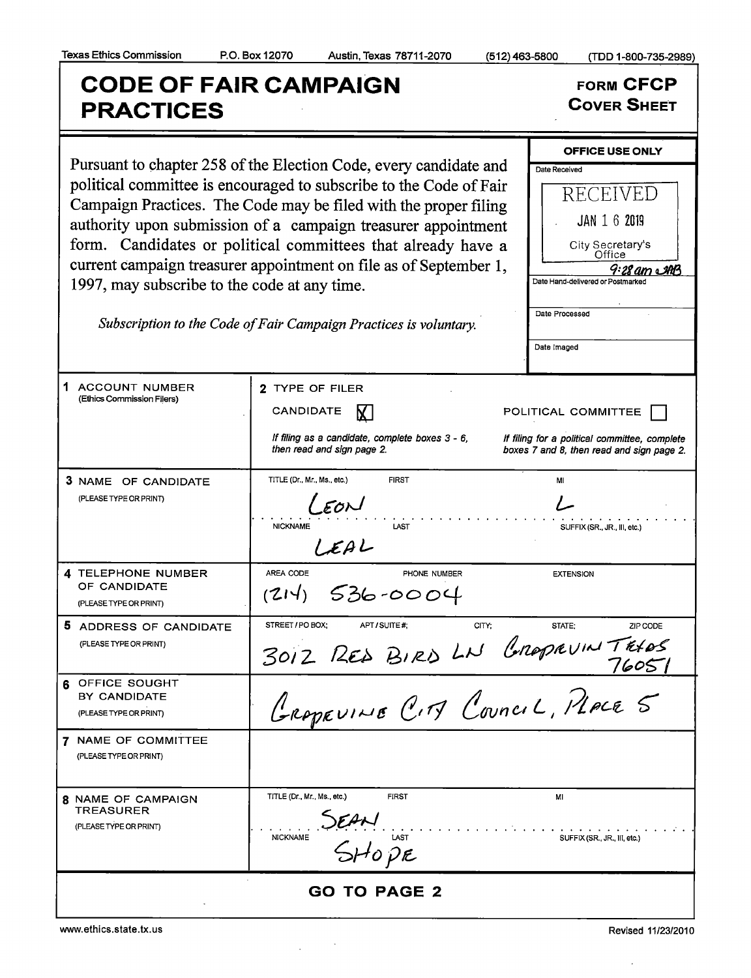## CODE OF FAIR CAMPAIGN<br>
EXACTICES<br>
FORACTICES **PRACTICES**

| 1997, may subscribe to the code at any time.                            | Pursuant to chapter 258 of the Election Code, every candidate and<br>political committee is encouraged to subscribe to the Code of Fair<br>Campaign Practices. The Code may be filed with the proper filing<br>authority upon submission of a campaign treasurer appointment<br>form. Candidates or political committees that already have a<br>current campaign treasurer appointment on file as of September 1,<br>Subscription to the Code of Fair Campaign Practices is voluntary. | <b>OFFICE USE ONLY</b><br>Date Received<br>RECEIVED<br><b>JAN 1 6 2019</b><br>City Secretary's<br>Office<br>$9:28$ am $\triangle$ AB<br>Date Hand-delivered or Postmarked<br>Date Processed<br>Date Imaged |
|-------------------------------------------------------------------------|----------------------------------------------------------------------------------------------------------------------------------------------------------------------------------------------------------------------------------------------------------------------------------------------------------------------------------------------------------------------------------------------------------------------------------------------------------------------------------------|------------------------------------------------------------------------------------------------------------------------------------------------------------------------------------------------------------|
| 1<br><b>ACCOUNT NUMBER</b><br>(Ethics Commission Filers)                | 2 TYPE OF FILER<br>CANDIDATE<br>If filing as a candidate, complete boxes 3 - 6,<br>then read and sign page 2.                                                                                                                                                                                                                                                                                                                                                                          | POLITICAL COMMITTEE<br>If filing for a political committee, complete<br>boxes 7 and 8, then read and sign page 2.                                                                                          |
| 3 NAME OF CANDIDATE<br>(PLEASE TYPE OR PRINT)                           | <b>FIRST</b><br>TITLE (Dr., Mr., Ms., etc.)<br>$L$ $\epsilon$ on<br><b>NICKNAME</b><br>LAST<br>LEAL                                                                                                                                                                                                                                                                                                                                                                                    | MI<br>SUFFIX (SR., JR., III, etc.)                                                                                                                                                                         |
| 4 TELEPHONE NUMBER<br>OF CANDIDATE<br>(PLEASE TYPE OR PRINT)            | AREA CODE<br>PHONE NUMBER<br>$(214)$ 536-0004                                                                                                                                                                                                                                                                                                                                                                                                                                          | <b>EXTENSION</b>                                                                                                                                                                                           |
| 5 ADDRESS OF CANDIDATE<br>(PLEASE TYPE OR PRINT)                        | STREET / PO BOX:<br>APT / SUITE #:<br>CITY:<br>3012 RED BIRD LN GROPRVINTRIOS                                                                                                                                                                                                                                                                                                                                                                                                          | STATE:<br>ZIP CODE                                                                                                                                                                                         |
| OFFICE SOUGHT<br>BY CANDIDATE<br>(PLEASE TYPE OR PRINT)                 | GROPEVINE CITY COUNCIL, PLACE 5                                                                                                                                                                                                                                                                                                                                                                                                                                                        |                                                                                                                                                                                                            |
| 7 NAME OF COMMITTEE<br>(PLEASE TYPE OR PRINT)                           |                                                                                                                                                                                                                                                                                                                                                                                                                                                                                        |                                                                                                                                                                                                            |
| <b>8 NAME OF CAMPAIGN</b><br><b>TREASURER</b><br>(PLEASE TYPE OR PRINT) | TITLE (Dr., Mr., Ms., etc.)<br><b>FIRST</b><br>SEAN<br>SHOPE<br><b>NICKNAME</b>                                                                                                                                                                                                                                                                                                                                                                                                        | м<br>SUFFIX (SR., JR., III, etc.)                                                                                                                                                                          |
| <b>GO TO PAGE 2</b>                                                     |                                                                                                                                                                                                                                                                                                                                                                                                                                                                                        |                                                                                                                                                                                                            |

 $\sim$ 

 $\mathcal{L}$ 

www.ethics.state.tx.us Revised 11/23/2010

 $\hat{\mathcal{L}}$